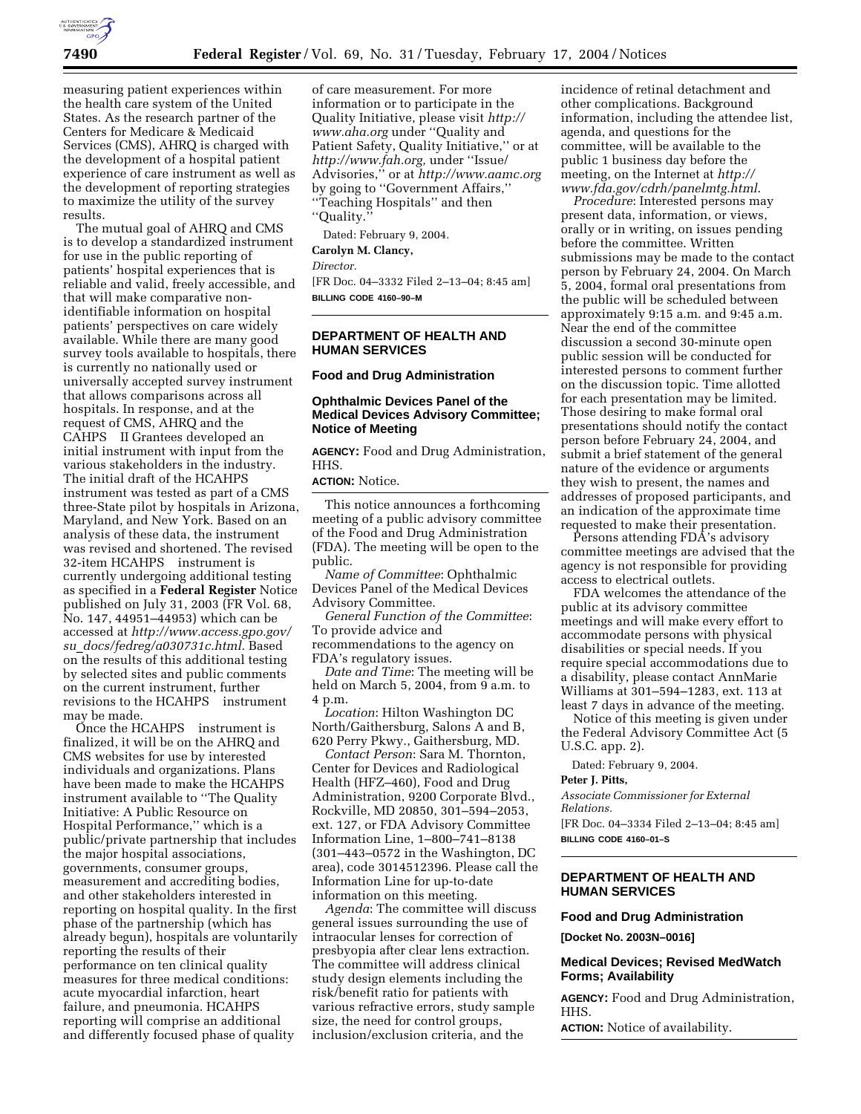

measuring patient experiences within the health care system of the United States. As the research partner of the Centers for Medicare & Medicaid Services (CMS), AHRQ is charged with the development of a hospital patient experience of care instrument as well as the development of reporting strategies to maximize the utility of the survey results.

The mutual goal of AHRQ and CMS is to develop a standardized instrument for use in the public reporting of patients' hospital experiences that is reliable and valid, freely accessible, and that will make comparative nonidentifiable information on hospital patients' perspectives on care widely available. While there are many good survey tools available to hospitals, there is currently no nationally used or universally accepted survey instrument that allows comparisons across all hospitals. In response, and at the request of CMS, AHRQ and the CAHPS<sup>®</sup> II Grantees developed an initial instrument with input from the various stakeholders in the industry. The initial draft of the HCAHPS instrument was tested as part of a CMS three-State pilot by hospitals in Arizona, Maryland, and New York. Based on an analysis of these data, the instrument was revised and shortened. The revised 32-item HCAHPS<sup>®</sup> instrument is currently undergoing additional testing as specified in a **Federal Register** Notice published on July 31, 2003 (FR Vol. 68, No. 147, 44951–44953) which can be accessed at *http://www.access.gpo.gov/ su*\_*docs/fedreg/a030731c.html.* Based on the results of this additional testing by selected sites and public comments on the current instrument, further revisions to the HCAHPS<sup>®</sup> instrument may be made.

Once the HCAHPS<sup>®</sup> instrument is finalized, it will be on the AHRQ and CMS websites for use by interested individuals and organizations. Plans have been made to make the HCAHPS instrument available to ''The Quality Initiative: A Public Resource on Hospital Performance,'' which is a public/private partnership that includes the major hospital associations, governments, consumer groups, measurement and accrediting bodies, and other stakeholders interested in reporting on hospital quality. In the first phase of the partnership (which has already begun), hospitals are voluntarily reporting the results of their performance on ten clinical quality measures for three medical conditions: acute myocardial infarction, heart failure, and pneumonia. HCAHPS reporting will comprise an additional and differently focused phase of quality

of care measurement. For more information or to participate in the Quality Initiative, please visit *http:// www.aha.org* under ''Quality and Patient Safety, Quality Initiative,'' or at *http://www.fah.org,* under ''Issue/ Advisories,'' or at *http://www.aamc.org* by going to ''Government Affairs,'' ''Teaching Hospitals'' and then ''Quality.''

Dated: February 9, 2004.

**Carolyn M. Clancy,**  *Director.*

[FR Doc. 04–3332 Filed 2–13–04; 8:45 am] **BILLING CODE 4160–90–M**

## **DEPARTMENT OF HEALTH AND HUMAN SERVICES**

#### **Food and Drug Administration**

## **Ophthalmic Devices Panel of the Medical Devices Advisory Committee; Notice of Meeting**

**AGENCY:** Food and Drug Administration, HHS.

## **ACTION:** Notice.

This notice announces a forthcoming meeting of a public advisory committee of the Food and Drug Administration (FDA). The meeting will be open to the public.

*Name of Committee*: Ophthalmic Devices Panel of the Medical Devices Advisory Committee.

*General Function of the Committee*: To provide advice and recommendations to the agency on

FDA's regulatory issues.

*Date and Time*: The meeting will be held on March 5, 2004, from 9 a.m. to 4 p.m.

*Location*: Hilton Washington DC North/Gaithersburg, Salons A and B, 620 Perry Pkwy., Gaithersburg, MD.

*Contact Person*: Sara M. Thornton, Center for Devices and Radiological Health (HFZ–460), Food and Drug Administration, 9200 Corporate Blvd., Rockville, MD 20850, 301–594–2053, ext. 127, or FDA Advisory Committee Information Line, 1–800–741–8138 (301–443–0572 in the Washington, DC area), code 3014512396. Please call the Information Line for up-to-date information on this meeting.

*Agenda*: The committee will discuss general issues surrounding the use of intraocular lenses for correction of presbyopia after clear lens extraction. The committee will address clinical study design elements including the risk/benefit ratio for patients with various refractive errors, study sample size, the need for control groups, inclusion/exclusion criteria, and the

incidence of retinal detachment and other complications. Background information, including the attendee list, agenda, and questions for the committee, will be available to the public 1 business day before the meeting, on the Internet at *http:// www.fda.gov/cdrh/panelmtg.html*.

*Procedure*: Interested persons may present data, information, or views, orally or in writing, on issues pending before the committee. Written submissions may be made to the contact person by February 24, 2004. On March 5, 2004, formal oral presentations from the public will be scheduled between approximately 9:15 a.m. and 9:45 a.m. Near the end of the committee discussion a second 30-minute open public session will be conducted for interested persons to comment further on the discussion topic. Time allotted for each presentation may be limited. Those desiring to make formal oral presentations should notify the contact person before February 24, 2004, and submit a brief statement of the general nature of the evidence or arguments they wish to present, the names and addresses of proposed participants, and an indication of the approximate time requested to make their presentation.

Persons attending FDA's advisory committee meetings are advised that the agency is not responsible for providing access to electrical outlets.

FDA welcomes the attendance of the public at its advisory committee meetings and will make every effort to accommodate persons with physical disabilities or special needs. If you require special accommodations due to a disability, please contact AnnMarie Williams at 301–594–1283, ext. 113 at least 7 days in advance of the meeting.

Notice of this meeting is given under the Federal Advisory Committee Act (5 U.S.C. app. 2).

Dated: February 9, 2004.

**Peter J. Pitts,**

*Associate Commissioner for External Relations.* [FR Doc. 04–3334 Filed 2–13–04; 8:45 am]

**BILLING CODE 4160–01–S**

## **DEPARTMENT OF HEALTH AND HUMAN SERVICES**

#### **Food and Drug Administration**

**[Docket No. 2003N–0016]**

## **Medical Devices; Revised MedWatch Forms; Availability**

**AGENCY:** Food and Drug Administration, HHS.

**ACTION:** Notice of availability.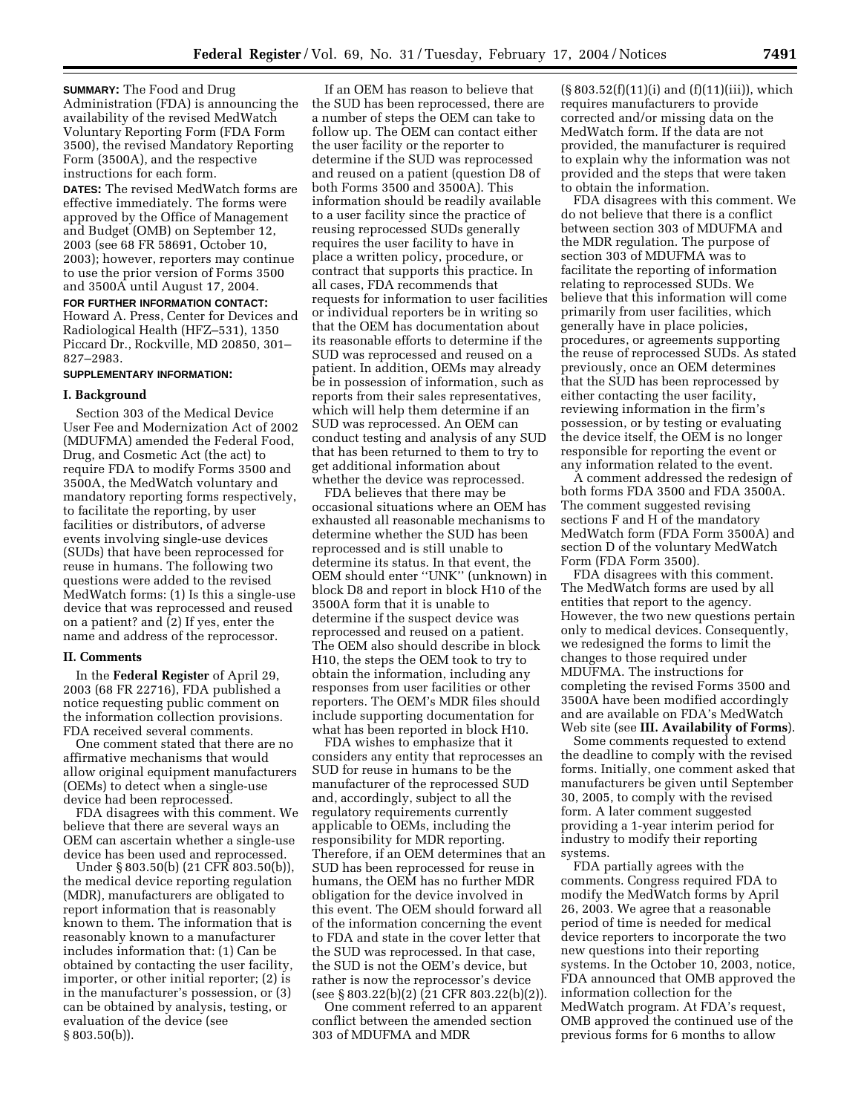**SUMMARY:** The Food and Drug Administration (FDA) is announcing the availability of the revised MedWatch Voluntary Reporting Form (FDA Form 3500), the revised Mandatory Reporting Form (3500A), and the respective instructions for each form. **DATES:** The revised MedWatch forms are effective immediately. The forms were approved by the Office of Management and Budget (OMB) on September 12, 2003 (see 68 FR 58691, October 10, 2003); however, reporters may continue to use the prior version of Forms 3500 and 3500A until August 17, 2004. **FOR FURTHER INFORMATION CONTACT:** Howard A. Press, Center for Devices and Radiological Health (HFZ–531), 1350 Piccard Dr., Rockville, MD 20850, 301– 827–2983.

## **SUPPLEMENTARY INFORMATION:**

#### **I. Background**

Section 303 of the Medical Device User Fee and Modernization Act of 2002 (MDUFMA) amended the Federal Food, Drug, and Cosmetic Act (the act) to require FDA to modify Forms 3500 and 3500A, the MedWatch voluntary and mandatory reporting forms respectively, to facilitate the reporting, by user facilities or distributors, of adverse events involving single-use devices (SUDs) that have been reprocessed for reuse in humans. The following two questions were added to the revised MedWatch forms: (1) Is this a single-use device that was reprocessed and reused on a patient? and (2) If yes, enter the name and address of the reprocessor.

#### **II. Comments**

In the **Federal Register** of April 29, 2003 (68 FR 22716), FDA published a notice requesting public comment on the information collection provisions. FDA received several comments.

One comment stated that there are no affirmative mechanisms that would allow original equipment manufacturers (OEMs) to detect when a single-use device had been reprocessed.

FDA disagrees with this comment. We believe that there are several ways an OEM can ascertain whether a single-use device has been used and reprocessed.

Under § 803.50(b) (21 CFR 803.50(b)), the medical device reporting regulation (MDR), manufacturers are obligated to report information that is reasonably known to them. The information that is reasonably known to a manufacturer includes information that: (1) Can be obtained by contacting the user facility, importer, or other initial reporter; (2) is in the manufacturer's possession, or (3) can be obtained by analysis, testing, or evaluation of the device (see § 803.50(b)).

If an OEM has reason to believe that the SUD has been reprocessed, there are a number of steps the OEM can take to follow up. The OEM can contact either the user facility or the reporter to determine if the SUD was reprocessed and reused on a patient (question D8 of both Forms 3500 and 3500A). This information should be readily available to a user facility since the practice of reusing reprocessed SUDs generally requires the user facility to have in place a written policy, procedure, or contract that supports this practice. In all cases, FDA recommends that requests for information to user facilities or individual reporters be in writing so that the OEM has documentation about its reasonable efforts to determine if the SUD was reprocessed and reused on a patient. In addition, OEMs may already be in possession of information, such as reports from their sales representatives, which will help them determine if an SUD was reprocessed. An OEM can conduct testing and analysis of any SUD that has been returned to them to try to get additional information about whether the device was reprocessed.

FDA believes that there may be occasional situations where an OEM has exhausted all reasonable mechanisms to determine whether the SUD has been reprocessed and is still unable to determine its status. In that event, the OEM should enter ''UNK'' (unknown) in block D8 and report in block H10 of the 3500A form that it is unable to determine if the suspect device was reprocessed and reused on a patient. The OEM also should describe in block H10, the steps the OEM took to try to obtain the information, including any responses from user facilities or other reporters. The OEM's MDR files should include supporting documentation for what has been reported in block H10.

FDA wishes to emphasize that it considers any entity that reprocesses an SUD for reuse in humans to be the manufacturer of the reprocessed SUD and, accordingly, subject to all the regulatory requirements currently applicable to OEMs, including the responsibility for MDR reporting. Therefore, if an OEM determines that an SUD has been reprocessed for reuse in humans, the OEM has no further MDR obligation for the device involved in this event. The OEM should forward all of the information concerning the event to FDA and state in the cover letter that the SUD was reprocessed. In that case, the SUD is not the OEM's device, but rather is now the reprocessor's device (see § 803.22(b)(2) (21 CFR 803.22(b)(2)).

One comment referred to an apparent conflict between the amended section 303 of MDUFMA and MDR

 $(\S 803.52(f)(11)(i)$  and  $(f)(11)(iii))$ , which requires manufacturers to provide corrected and/or missing data on the MedWatch form. If the data are not provided, the manufacturer is required to explain why the information was not provided and the steps that were taken to obtain the information.

FDA disagrees with this comment. We do not believe that there is a conflict between section 303 of MDUFMA and the MDR regulation. The purpose of section 303 of MDUFMA was to facilitate the reporting of information relating to reprocessed SUDs. We believe that this information will come primarily from user facilities, which generally have in place policies, procedures, or agreements supporting the reuse of reprocessed SUDs. As stated previously, once an OEM determines that the SUD has been reprocessed by either contacting the user facility, reviewing information in the firm's possession, or by testing or evaluating the device itself, the OEM is no longer responsible for reporting the event or any information related to the event.

A comment addressed the redesign of both forms FDA 3500 and FDA 3500A. The comment suggested revising sections F and H of the mandatory MedWatch form (FDA Form 3500A) and section D of the voluntary MedWatch Form (FDA Form 3500).

FDA disagrees with this comment. The MedWatch forms are used by all entities that report to the agency. However, the two new questions pertain only to medical devices. Consequently, we redesigned the forms to limit the changes to those required under MDUFMA. The instructions for completing the revised Forms 3500 and 3500A have been modified accordingly and are available on FDA's MedWatch Web site (see **III. Availability of Forms**).

Some comments requested to extend the deadline to comply with the revised forms. Initially, one comment asked that manufacturers be given until September 30, 2005, to comply with the revised form. A later comment suggested providing a 1-year interim period for industry to modify their reporting systems.

FDA partially agrees with the comments. Congress required FDA to modify the MedWatch forms by April 26, 2003. We agree that a reasonable period of time is needed for medical device reporters to incorporate the two new questions into their reporting systems. In the October 10, 2003, notice, FDA announced that OMB approved the information collection for the MedWatch program. At FDA's request, OMB approved the continued use of the previous forms for 6 months to allow